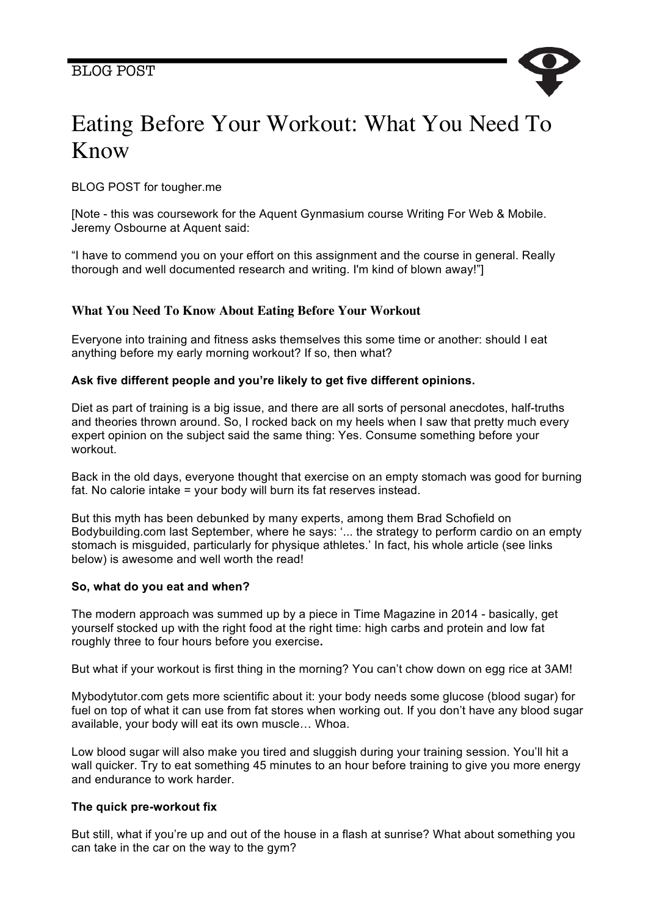

# Eating Before Your Workout: What You Need To Know

BLOG POST for tougher.me

[Note - this was coursework for the Aquent Gynmasium course Writing For Web & Mobile. Jeremy Osbourne at Aquent said:

"I have to commend you on your effort on this assignment and the course in general. Really thorough and well documented research and writing. I'm kind of blown away!"]

## **What You Need To Know About Eating Before Your Workout**

Everyone into training and fitness asks themselves this some time or another: should I eat anything before my early morning workout? If so, then what?

## **Ask five different people and you're likely to get five different opinions.**

Diet as part of training is a big issue, and there are all sorts of personal anecdotes, half-truths and theories thrown around. So, I rocked back on my heels when I saw that pretty much every expert opinion on the subject said the same thing: Yes. Consume something before your workout.

Back in the old days, everyone thought that exercise on an empty stomach was good for burning fat. No calorie intake = your body will burn its fat reserves instead.

But this myth has been debunked by many experts, among them Brad Schofield on Bodybuilding.com last September, where he says: '... the strategy to perform cardio on an empty stomach is misguided, particularly for physique athletes.' In fact, his whole article (see links below) is awesome and well worth the read!

### **So, what do you eat and when?**

The modern approach was summed up by a piece in Time Magazine in 2014 - basically, get yourself stocked up with the right food at the right time: high carbs and protein and low fat roughly three to four hours before you exercise**.**

But what if your workout is first thing in the morning? You can't chow down on egg rice at 3AM!

Mybodytutor.com gets more scientific about it: your body needs some glucose (blood sugar) for fuel on top of what it can use from fat stores when working out. If you don't have any blood sugar available, your body will eat its own muscle… Whoa.

Low blood sugar will also make you tired and sluggish during your training session. You'll hit a wall quicker. Try to eat something 45 minutes to an hour before training to give you more energy and endurance to work harder.

### **The quick pre-workout fix**

But still, what if you're up and out of the house in a flash at sunrise? What about something you can take in the car on the way to the gym?